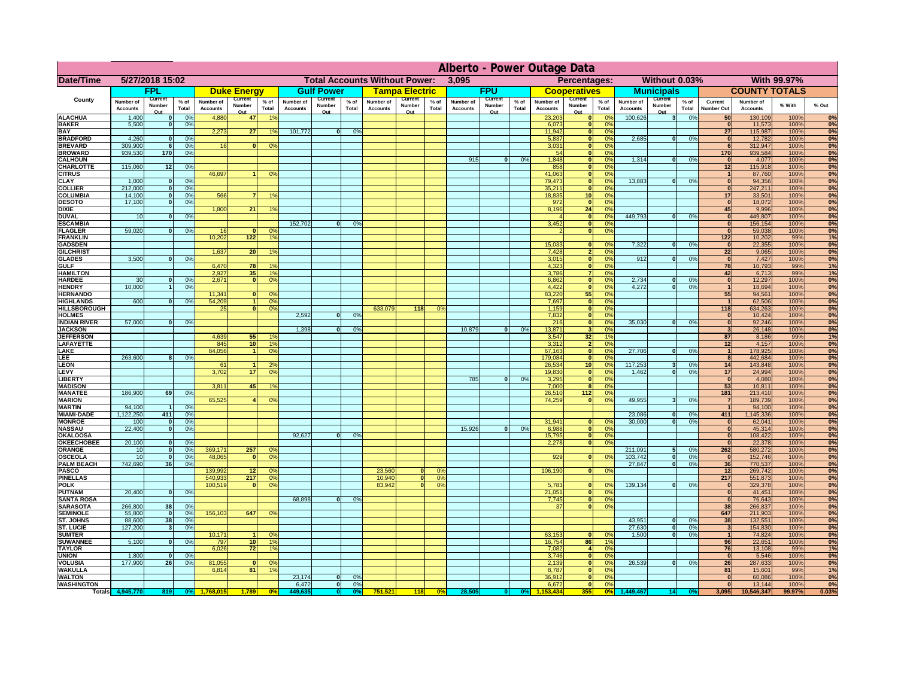|                                      | Alberto - Power Outage Data         |                                        |                        |                                     |                                      |                      |                              |                                        |                       |                              |                                        |                      |                              |                                        |                      |                              |                                      |                      |                                     |                                                   |                      |                                     |                                     |              |                        |
|--------------------------------------|-------------------------------------|----------------------------------------|------------------------|-------------------------------------|--------------------------------------|----------------------|------------------------------|----------------------------------------|-----------------------|------------------------------|----------------------------------------|----------------------|------------------------------|----------------------------------------|----------------------|------------------------------|--------------------------------------|----------------------|-------------------------------------|---------------------------------------------------|----------------------|-------------------------------------|-------------------------------------|--------------|------------------------|
| Date/Time                            | 5/27/2018 15:02                     |                                        |                        |                                     | <b>Total Accounts Without Power:</b> |                      |                              |                                        |                       |                              |                                        |                      | 3,095                        |                                        |                      |                              | Without 0.03%<br><b>Percentages:</b> |                      |                                     |                                                   |                      |                                     | <b>With 99.97%</b>                  |              |                        |
|                                      | <b>FPL</b>                          |                                        |                        | <b>Duke Energy</b>                  |                                      |                      | <b>Gulf Power</b>            |                                        | <u>Tampa Electric</u> |                              |                                        | <b>FPU</b>           |                              | <b>Cooperatives</b>                    |                      | <b>Municipals</b>            |                                      |                      | <b>COUNTY TOTALS</b>                |                                                   |                      |                                     |                                     |              |                        |
| <b>County</b>                        | <b>Number of</b><br><b>Accounts</b> | <b>Current</b><br><b>Number</b><br>Out | $%$ of<br><b>Total</b> | <b>Number of</b><br><b>Accounts</b> | <b>Current</b><br>Number<br>Out      | % of<br><b>Total</b> | Number of<br><b>Accounts</b> | <b>Current</b><br><b>Number</b><br>Out | % of<br><b>Total</b>  | Number of<br><b>Accounts</b> | <b>Current</b><br><b>Number</b><br>Out | % of<br><b>Total</b> | Number of<br><b>Accounts</b> | <b>Current</b><br><b>Number</b><br>Out | % of<br><b>Total</b> | Number of<br><b>Accounts</b> | Current<br><b>Number</b><br>Out      | % of<br><b>Total</b> | <b>Number of</b><br><b>Accounts</b> | <b>Current</b><br><b>Number</b><br>Q <sub>1</sub> | % of<br><b>Total</b> | <b>Current</b><br><b>Number Out</b> | <b>Number of</b><br><b>Accounts</b> | % With       | % Out                  |
| <b>ALACHUA</b>                       | 1,400                               | $\Omega$                               |                        | 4,880                               | <b>47</b>                            | 1%                   |                              |                                        |                       |                              |                                        |                      |                              |                                        |                      | 23,203                       |                                      | 0%                   | 100,626                             |                                                   | 0%                   | 50 <sub>l</sub>                     | 130,109                             | 100%         | 0%                     |
| <b>BAKER</b><br><b>BAY</b>           | 5,500                               |                                        | 0%                     | 2,273                               | 27                                   | 1%                   | 101,772                      | $\Omega$                               |                       |                              |                                        |                      |                              |                                        |                      | 6,073<br>11,942              |                                      | 0%<br>0%             |                                     |                                                   |                      | 27                                  | 11,573<br>115,987                   | 100%<br>100% | 0%<br>$\overline{0\%}$ |
| <b>BRADFORD</b>                      | 4,260                               | 0                                      | 0%                     |                                     |                                      |                      |                              |                                        |                       |                              |                                        |                      |                              |                                        |                      | 5,837                        |                                      | 0%                   | 2,685                               | nl                                                | 0%                   |                                     | 12,782                              | 100%         | 0%                     |
| <b>BREVARD</b>                       | 309,900                             | 6 <sup>1</sup>                         | 0%                     |                                     | $\Omega$                             | 0%                   |                              |                                        |                       |                              |                                        |                      |                              |                                        |                      | 3,031                        |                                      | 0%                   |                                     |                                                   |                      |                                     | 312,947                             | 100%         | 0%                     |
| <b>BROWARD</b>                       | 939,530                             | 170                                    | 0%                     |                                     |                                      |                      |                              |                                        |                       |                              |                                        |                      |                              |                                        |                      | 54                           |                                      | 0%                   |                                     |                                                   |                      | <b>170</b>                          | 939,584                             | 100%         | 0%                     |
| <b>CALHOUN</b><br><b>CHARLOTTE</b>   | 115,060                             | 12                                     | 0%                     |                                     |                                      |                      |                              |                                        |                       |                              |                                        |                      | 915                          |                                        | 0%                   | 1,848<br>858                 |                                      | 0%<br>0%             | 1,314                               |                                                   | 0%                   | 12                                  | 4,077<br>115,918                    | 100%<br>100% | $\overline{0\%}$<br>0% |
| <b>CITRUS</b>                        |                                     |                                        |                        | 46,697                              |                                      | 0%                   |                              |                                        |                       |                              |                                        |                      |                              |                                        |                      | 41,063                       |                                      | 0%                   |                                     |                                                   |                      |                                     | 87,760                              | 100%         | 0%                     |
| <b>CLAY</b>                          | 1,000                               | 0                                      | 0%                     |                                     |                                      |                      |                              |                                        |                       |                              |                                        |                      |                              |                                        |                      | 79,473                       |                                      | 0%                   | 13,883                              | ΩL                                                | 0%                   |                                     | 94,356                              | 100%         | $\overline{0\%}$       |
| <b>COLLIER</b>                       | 212,000                             | 0                                      | 0%                     |                                     |                                      |                      |                              |                                        |                       |                              |                                        |                      |                              |                                        |                      | 35,211                       |                                      | 0%                   |                                     |                                                   |                      |                                     | 247,211                             | 100%         | 0%                     |
| <b>COLUMBIA</b>                      | 14,100                              | $\Omega$                               | 0%                     | 566                                 |                                      | 1%                   |                              |                                        |                       |                              |                                        |                      |                              |                                        |                      | 18,835                       | 10                                   | 0%                   |                                     |                                                   |                      | 17                                  | 33,501                              | 100%         | $\overline{0\%}$       |
| <b>DESOTO</b><br><b>DIXIE</b>        | 17,100                              | $\Omega$                               | 0%                     | 1,800                               | 21                                   | 1%                   |                              |                                        |                       |                              |                                        |                      |                              |                                        |                      | 972 <br>8,196                | - 0<br>24                            | 0%<br>0%             |                                     |                                                   |                      | 45                                  | 18,072<br>9,996                     | 100%<br>100% | 0%<br>0%               |
| <b>DUVAL</b>                         | 10                                  | ∩                                      | 0%                     |                                     |                                      |                      |                              |                                        |                       |                              |                                        |                      |                              |                                        |                      |                              |                                      | 0%                   | 449,793                             | $\Omega$                                          | 0%                   |                                     | 449,807                             | 100%         | 0%                     |
| <b>ESCAMBIA</b>                      |                                     |                                        |                        |                                     |                                      |                      | 152,702                      | $\Omega$                               |                       |                              |                                        |                      |                              |                                        |                      | 3,452                        |                                      | 0%                   |                                     |                                                   |                      |                                     | 156,154                             | 100%         | 0%                     |
| <b>FLAGLER</b>                       | 59,020                              | ി                                      | 0%                     |                                     | n                                    | 0%                   |                              |                                        |                       |                              |                                        |                      |                              |                                        |                      |                              |                                      | 0%                   |                                     |                                                   |                      |                                     | 59,038                              | 100%         | $\overline{0\%}$       |
| <b>FRANKLIN</b>                      |                                     |                                        |                        | 10,202                              | 122                                  | 1%                   |                              |                                        |                       |                              |                                        |                      |                              |                                        |                      |                              |                                      |                      |                                     | n                                                 |                      | 122                                 | 10,202                              | 99%          | 1%                     |
| <b>GADSDEN</b><br><b>GILCHRIST</b>   |                                     |                                        |                        | 1,637                               | 20                                   | $1\%$                |                              |                                        |                       |                              |                                        |                      |                              |                                        |                      | 15,033<br>7,428              |                                      | 0%<br>0%             | 7,322                               |                                                   | 0%                   | $\overline{22}$                     | 22,355<br>9,065                     | 100%<br>100% | 0%<br>$\overline{0\%}$ |
| <b>GLADES</b>                        | 3,500                               | $\mathbf{a}$                           | 0%                     |                                     |                                      |                      |                              |                                        |                       |                              |                                        |                      |                              |                                        |                      | 3,015                        |                                      | 0%                   | 912                                 |                                                   | 0%                   |                                     | 7,427                               | 100%         | 0%                     |
| <b>GULF</b>                          |                                     |                                        |                        | 6,47                                | <b>78</b>                            | 1%                   |                              |                                        |                       |                              |                                        |                      |                              |                                        |                      | 4,323                        |                                      | 0%                   |                                     |                                                   |                      | 78                                  | 10,793                              | 99%          | 1%                     |
| <b>HAMILTON</b>                      |                                     |                                        |                        | 2,927                               | 35                                   | 1%                   |                              |                                        |                       |                              |                                        |                      |                              |                                        |                      | 3,786                        |                                      | 0%                   |                                     |                                                   |                      | 42                                  | 6,713                               | 99%          | 1%                     |
| <b>HARDEE</b>                        | 30 <sup>°</sup>                     | n                                      | 0%                     | 2,671                               | n                                    | 0%                   |                              |                                        |                       |                              |                                        |                      |                              |                                        |                      | 6,862                        |                                      | 0%                   | 2,734<br>4,272                      | ΩI<br>ΩI                                          | 0%                   | $\Omega$                            | 12,297                              | 100%         | 0%                     |
| <b>HENDRY</b><br><b>HERNANDO</b>     | 10,000                              |                                        |                        | 11,341                              |                                      | 0%                   |                              |                                        |                       |                              |                                        |                      |                              |                                        |                      | 4,422<br>83,220              | 55                                   | 0%<br>0%             |                                     |                                                   | 0%                   | 55                                  | 18,694<br>94,561                    | 100%<br>100% | 0%<br>0%               |
| <b>HIGHLANDS</b>                     | 600                                 |                                        |                        | 54,209                              |                                      | 0%                   |                              |                                        |                       |                              |                                        |                      |                              |                                        |                      | 7,697                        |                                      | 0%                   |                                     |                                                   |                      |                                     | 62,506                              | 100%         | 0%                     |
| <b>HILLSBOROUGH</b>                  |                                     |                                        |                        | 25                                  |                                      | 0%                   |                              |                                        |                       | 633,079                      | 118                                    | 0%                   |                              |                                        |                      | 1,159                        |                                      | 0%                   |                                     |                                                   |                      | 118                                 | 634,263                             | 100%         | 0%                     |
| <b>HOLMES</b>                        |                                     |                                        |                        |                                     |                                      |                      | 2,592                        |                                        | 0%                    |                              |                                        |                      |                              |                                        |                      | 7,832                        |                                      | 0%                   |                                     |                                                   |                      |                                     | 10,424                              | 100%         | 0%                     |
| <b>INDIAN RIVER</b>                  | 57,000                              | $\Omega$                               | 0%                     |                                     |                                      |                      |                              |                                        |                       |                              |                                        |                      |                              |                                        |                      | 216                          |                                      | 0%                   | 35,030                              |                                                   | 0%                   |                                     | 92,246                              | 100%         | 0%                     |
| <b>JACKSON</b><br><b>JEFFERSON</b>   |                                     |                                        |                        | 4,639                               | 55                                   | 1%                   | 1,398                        |                                        |                       |                              |                                        |                      | 10,879                       |                                        | 0%                   | 13,871<br>3,547              | 32                                   | 0%<br>1%             |                                     |                                                   |                      | 87                                  | 26,148<br>8,186                     | 100%<br>99%  | 0%<br>1%               |
| <b>LAFAYETTE</b>                     |                                     |                                        |                        | 845                                 | 10                                   | 1%                   |                              |                                        |                       |                              |                                        |                      |                              |                                        |                      | 3,312                        |                                      | 0%                   |                                     |                                                   |                      | 12                                  | 4,157                               | 100%         | 0%                     |
| <b>LAKE</b>                          |                                     |                                        |                        | 84,056                              |                                      | 0%                   |                              |                                        |                       |                              |                                        |                      |                              |                                        |                      | 67,163                       |                                      | 0%                   | 27,706                              |                                                   | 0%                   |                                     | 178,925                             | 100%         | 0%                     |
| <b>LEE</b>                           | 263,600                             | $\bf{8}$                               |                        |                                     |                                      |                      |                              |                                        |                       |                              |                                        |                      |                              |                                        |                      | 179,084                      |                                      | 0%                   |                                     |                                                   |                      | $\bf{8}$                            | 442,684                             | 100%         | 0%                     |
| <b>LEON</b>                          |                                     |                                        |                        | 61.                                 |                                      | 2%                   |                              |                                        |                       |                              |                                        |                      |                              |                                        |                      | 26,534                       | 10 <sup>1</sup>                      | 0%                   | 117,253                             |                                                   | 0%                   | 14                                  | 143,848                             | 100%         | 0%                     |
| <b>LEVY</b><br><b>LIBERTY</b>        |                                     |                                        |                        | 3,702                               | 17                                   | 0%                   |                              |                                        |                       |                              |                                        |                      | 785                          |                                        |                      | 19,830<br>3,295              | - 0                                  | 0%<br>0%             | 1,462                               |                                                   | 0%                   | 17                                  | 24,994<br>4,080                     | 100%<br>100% | 0%<br>0%               |
| <b>MADISON</b>                       |                                     |                                        |                        | 3,811                               | <b>45</b>                            | 1%                   |                              |                                        |                       |                              |                                        |                      |                              |                                        |                      | 7,000                        |                                      | 0%                   |                                     |                                                   |                      | 53                                  | 10,811                              | 100%         | 0%                     |
| <b>MANATEE</b>                       | 186,900                             | 69                                     |                        |                                     |                                      |                      |                              |                                        |                       |                              |                                        |                      |                              |                                        |                      | 26,510                       | 112                                  | 0%                   |                                     |                                                   |                      | 181                                 | 213,410                             | 100%         | 0%                     |
| <b>MARION</b>                        |                                     |                                        |                        | 65,525                              |                                      | 0%                   |                              |                                        |                       |                              |                                        |                      |                              |                                        |                      | 74,259                       |                                      | 0%                   | 49,955                              |                                                   | 0%                   |                                     | 189,739                             | 100%         | 0%                     |
| <b>MARTIN</b>                        | 94,100                              |                                        | 0%                     |                                     |                                      |                      |                              |                                        |                       |                              |                                        |                      |                              |                                        |                      |                              |                                      |                      |                                     |                                                   |                      |                                     | 94,100                              | 100%         | 0%                     |
| <b>MIAMI-DADE</b><br><b>MONROE</b>   | 1,122,250<br>100                    | 411<br>$\Omega$                        | 0%<br>0%               |                                     |                                      |                      |                              |                                        |                       |                              |                                        |                      |                              |                                        |                      | 31,941                       |                                      | 0%                   | 23,086<br>30,000                    |                                                   | 0%<br>0%             | 411                                 | 1,145,336<br>62,041                 | 100%<br>100% | 0%<br>0%               |
| <b>NASSAU</b>                        | 22,400                              |                                        | 0%                     |                                     |                                      |                      |                              |                                        |                       |                              |                                        |                      | 15,926                       |                                        | 0%                   | 6,988                        |                                      | 0%                   |                                     |                                                   |                      |                                     | 45,314                              | 100%         | 0%                     |
| <b>OKALOOSA</b>                      |                                     |                                        |                        |                                     |                                      |                      | 92,627                       |                                        |                       |                              |                                        |                      |                              |                                        |                      | 15,795                       |                                      | 0%                   |                                     |                                                   |                      |                                     | 108,422                             | 100%         | 0%                     |
| <b>OKEECHOBEE</b>                    | 20,100                              | $\mathbf{0}$                           | 0%                     |                                     |                                      |                      |                              |                                        |                       |                              |                                        |                      |                              |                                        |                      | 2,278                        |                                      | 0%                   |                                     |                                                   |                      |                                     | 22,378                              | 100%         | 0%                     |
| <b>ORANGE</b>                        | 10                                  | $\Omega$                               |                        | 369,171                             | 257                                  | 0%                   |                              |                                        |                       |                              |                                        |                      |                              |                                        |                      |                              |                                      |                      | 211,091                             |                                                   | 0%                   | 262                                 | 580,272                             | 100%         | 0%                     |
| <b>OSCEOLA</b><br><b>PALM BEACH</b>  | 10<br>742,690                       | 36                                     | 0%                     | 48,065                              |                                      | 0%                   |                              |                                        |                       |                              |                                        |                      |                              |                                        |                      | 929                          | $\Omega$                             | 0%                   | 103,742<br>27,847                   |                                                   | 0%<br>0%             | 36                                  | 152,746<br>770,537                  | 100%<br>100% | 0%<br>0%               |
| <b>PASCO</b>                         |                                     |                                        |                        | 139,992                             | 12                                   | 0%                   |                              |                                        |                       | 23,560                       |                                        | 0%                   |                              |                                        |                      | 106,190                      | n                                    | 0%                   |                                     |                                                   |                      | 12                                  | 269,742                             | 100%         | 0%                     |
| <b>PINELLAS</b>                      |                                     |                                        |                        | 540,93                              | 217                                  | 0%                   |                              |                                        |                       | 10,940                       |                                        | 0%                   |                              |                                        |                      |                              |                                      |                      |                                     |                                                   |                      | 217                                 | 551,873                             | 100%         | 0%                     |
| <b>POLK</b>                          |                                     |                                        |                        | 100,519                             |                                      | 0%                   |                              |                                        |                       | 83,942                       |                                        | 0%                   |                              |                                        |                      | 5,783                        |                                      | 0%                   | 139,134                             |                                                   | 0%                   |                                     | 329,378                             | 100%         | 0%                     |
| <b>PUTNAM</b>                        | 20,400                              | $\mathbf{0}$                           | 0%                     |                                     |                                      |                      |                              |                                        |                       |                              |                                        |                      |                              |                                        |                      | 21,051                       |                                      | 0%                   |                                     |                                                   |                      |                                     | 41.451                              | 100%         | 0%                     |
| <b>SANTA ROSA</b><br><b>SARASOTA</b> | 266,800                             | 38                                     | 0%                     |                                     |                                      |                      | 68,898                       |                                        | 0%                    |                              |                                        |                      |                              |                                        |                      | 7,745<br>37                  | $\Omega$                             | 0%<br>0%             |                                     |                                                   |                      | $\mathbf{0}$<br>38                  | 76,643<br>266,837                   | 100%<br>100% | 0%<br>0%               |
| <b>SEMINOLE</b>                      | 55,800                              | $\mathbf{0}$                           |                        | 156,103                             | 647                                  | 0%                   |                              |                                        |                       |                              |                                        |                      |                              |                                        |                      |                              |                                      |                      |                                     |                                                   |                      | 647                                 | 211,903                             | 100%         | 0%                     |
| <b>ST. JOHNS</b>                     | 88,600                              | 38                                     | 0%                     |                                     |                                      |                      |                              |                                        |                       |                              |                                        |                      |                              |                                        |                      |                              |                                      |                      | 43,951                              |                                                   | 0%                   | 38                                  | 132,551                             | 100%         | 0%                     |
| <b>ST. LUCIE</b>                     | 127,200                             | 3 <sup>l</sup>                         | 0%                     |                                     |                                      |                      |                              |                                        |                       |                              |                                        |                      |                              |                                        |                      |                              |                                      |                      | 27,630                              |                                                   | 0%                   |                                     | 154,830                             | 100%         | 0%                     |
| <b>SUMTER</b>                        |                                     |                                        |                        | 10,171                              |                                      | 0%                   |                              |                                        |                       |                              |                                        |                      |                              |                                        |                      | 63,153                       |                                      | 0%                   | 1,500                               | n                                                 | 0%                   |                                     | 74,824                              | 100%         | 0%                     |
| <b>SUWANNEE</b>                      | 5,100                               | $\Omega$                               | 0%                     | 797                                 | 10                                   | 1%                   |                              |                                        |                       |                              |                                        |                      |                              |                                        |                      | 16,754                       | 86                                   | 1%                   |                                     |                                                   |                      | 96                                  | 22,651                              | 100%         | $\overline{0\%}$       |
| <b>TAYLOR</b><br><b>UNION</b>        | 1,800                               | $\Omega$                               | 0%                     | 6,026                               | 72                                   | $1\%$                |                              |                                        |                       |                              |                                        |                      |                              |                                        |                      | 7,082<br>3,746               |                                      | 0%<br>0%             |                                     |                                                   |                      | 76                                  | 13,108<br>5,546                     | 99%<br>100%  | 1%<br>0%               |
| <b>VOLUSIA</b>                       | 177,900                             | 26                                     | 0%                     | 81,055                              | - OI                                 | 0%                   |                              |                                        |                       |                              |                                        |                      |                              |                                        |                      | 2,139                        |                                      | 0%                   | 26,539                              | ΩL                                                | 0%                   | 26                                  | 287,633                             | 100%         | 0%                     |
| <b>WAKULLA</b>                       |                                     |                                        |                        | 6,814                               | 81                                   | $1\%$                |                              |                                        |                       |                              |                                        |                      |                              |                                        |                      | 8,787                        |                                      | 0%                   |                                     |                                                   |                      | 81                                  | 15,601                              | 99%          | 1%                     |
| <b>WALTON</b>                        |                                     |                                        |                        |                                     |                                      |                      | 23,174                       |                                        | 0 <sup>0</sup>        |                              |                                        |                      |                              |                                        |                      | 36,912                       |                                      | 0%                   |                                     |                                                   |                      |                                     | 60,086                              | 100%         | 0%                     |
| <b>WASHINGTON</b>                    |                                     |                                        |                        |                                     |                                      |                      | 6,472                        |                                        | $\Omega\%$            |                              |                                        |                      |                              |                                        |                      | 6,672                        |                                      | 0%                   |                                     |                                                   |                      |                                     | 13,144                              | 100%         | 0%                     |
| <b>Totals</b>                        | 4,945,770                           | 819                                    |                        | $\mid$ 0% 1,768,015                 | 1,789                                | $ 0\% $              | 449,635                      |                                        | 0%                    | <mark>751,521</mark>         | 118                                    | $\mathbf{0\%}$       | 28,505                       |                                        | $\log$<br> 0         | 1,153,434                    | 355                                  | $ 0\% $              | 1,449,467                           | 14                                                | $\mathbf{0\%}$       | 3,095                               | 10,546,347                          | 99.97%       | 0.03%                  |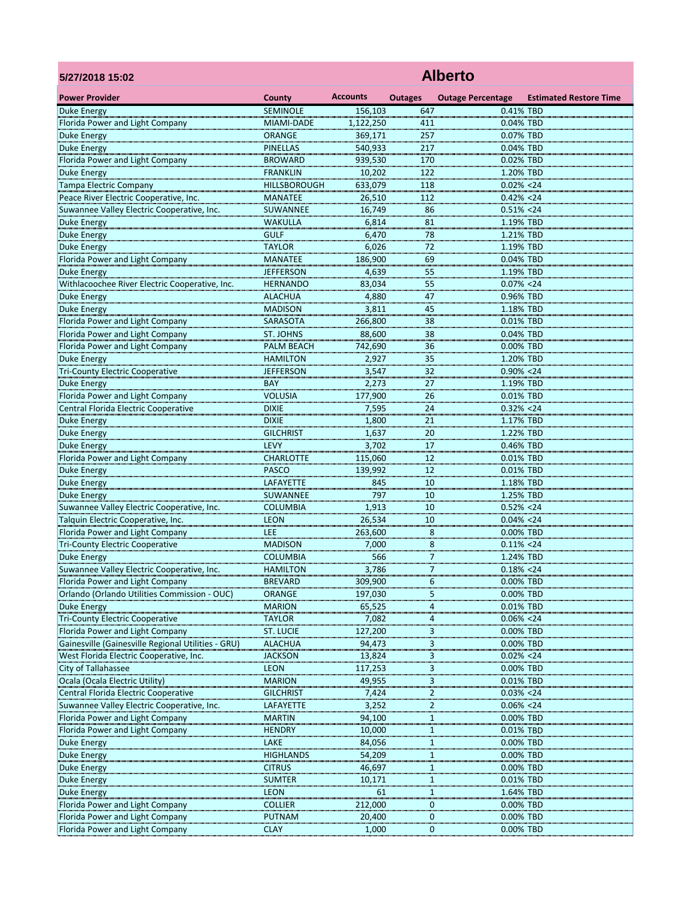| 5/27/2018 15:02                                                  | <b>Alberto</b>                         |                   |                |                            |                               |  |  |  |  |
|------------------------------------------------------------------|----------------------------------------|-------------------|----------------|----------------------------|-------------------------------|--|--|--|--|
| <b>Power Provider</b>                                            | <b>County</b>                          | <b>Accounts</b>   | <b>Outages</b> | <b>Outage Percentage</b>   | <b>Estimated Restore Time</b> |  |  |  |  |
| Duke Energy                                                      | <b>SEMINOLE</b>                        | 156,103           | 647            | 0.41% TBD                  |                               |  |  |  |  |
| Florida Power and Light Company                                  | MIAMI-DADE                             | 1,122,250         | 411            | 0.04% TBD                  |                               |  |  |  |  |
| <b>Duke Energy</b>                                               | <b>ORANGE</b>                          | 369,171           | 257            | 0.07% TBD                  |                               |  |  |  |  |
| <b>Duke Energy</b>                                               | <b>PINELLAS</b>                        | 540,933           | 217            | 0.04% TBD                  |                               |  |  |  |  |
| Florida Power and Light Company                                  | <b>BROWARD</b>                         | 939,530           | 170            | 0.02% TBD                  |                               |  |  |  |  |
| <b>Duke Energy</b><br><b>Tampa Electric Company</b>              | <b>FRANKLIN</b><br><b>HILLSBOROUGH</b> | 10,202<br>633,079 | 122<br>118     | 1.20% TBD<br>$0.02\% < 24$ |                               |  |  |  |  |
| Peace River Electric Cooperative, Inc.                           | <b>MANATEE</b>                         | 26,510            | 112            | $0.42\% < 24$              |                               |  |  |  |  |
| Suwannee Valley Electric Cooperative, Inc.                       | SUWANNEE                               | 16,749            | 86             | $0.51\% < 24$              |                               |  |  |  |  |
| <b>Duke Energy</b>                                               | <b>WAKULLA</b>                         | 6,814             | 81             | 1.19% TBD                  |                               |  |  |  |  |
| <b>Duke Energy</b>                                               | <b>GULF</b>                            | 6,470             | 78             | 1.21% TBD                  |                               |  |  |  |  |
| <b>Duke Energy</b>                                               | <b>TAYLOR</b>                          | 6,026             | 72             | 1.19% TBD                  |                               |  |  |  |  |
| Florida Power and Light Company                                  | <b>MANATEE</b>                         | 186,900           | 69             | 0.04% TBD                  |                               |  |  |  |  |
| <b>Duke Energy</b>                                               | <b>JEFFERSON</b>                       | 4,639             | 55             | 1.19% TBD                  |                               |  |  |  |  |
| Withlacoochee River Electric Cooperative, Inc.                   | <b>HERNANDO</b>                        | 83,034            | 55             | $0.07\% < 24$              |                               |  |  |  |  |
| <b>Duke Energy</b>                                               | <b>ALACHUA</b>                         | 4,880             | 47             | 0.96% TBD                  |                               |  |  |  |  |
| <b>Duke Energy</b><br>Florida Power and Light Company            | <b>MADISON</b><br><b>SARASOTA</b>      | 3,811<br>266,800  | 45<br>38       | 1.18% TBD<br>0.01% TBD     |                               |  |  |  |  |
| Florida Power and Light Company                                  | <b>ST. JOHNS</b>                       | 88,600            | 38             | 0.04% TBD                  |                               |  |  |  |  |
| Florida Power and Light Company                                  | <b>PALM BEACH</b>                      | 742,690           | 36             | 0.00% TBD                  |                               |  |  |  |  |
| <b>Duke Energy</b>                                               | <b>HAMILTON</b>                        | 2,927             | 35             | 1.20% TBD                  |                               |  |  |  |  |
| <b>Tri-County Electric Cooperative</b>                           | <b>JEFFERSON</b>                       | 3,547             | 32             | $0.90\% < 24$              |                               |  |  |  |  |
| <b>Duke Energy</b>                                               | <b>BAY</b>                             | 2,273             | 27             | 1.19% TBD                  |                               |  |  |  |  |
| Florida Power and Light Company                                  | <b>VOLUSIA</b>                         | 177,900           | 26             | 0.01% TBD                  |                               |  |  |  |  |
| Central Florida Electric Cooperative                             | <b>DIXIE</b>                           | 7,595             | 24             | $0.32\% < 24$              |                               |  |  |  |  |
| <b>Duke Energy</b>                                               | <b>DIXIE</b>                           | 1,800             | 21             | 1.17% TBD                  |                               |  |  |  |  |
| <b>Duke Energy</b>                                               | <b>GILCHRIST</b>                       | 1,637             | 20             | 1.22% TBD                  |                               |  |  |  |  |
| <b>Duke Energy</b>                                               | <b>LEVY</b>                            | 3,702             | 17             | 0.46% TBD                  |                               |  |  |  |  |
| Florida Power and Light Company                                  | <b>CHARLOTTE</b>                       | 115,060           | 12             | 0.01% TBD                  |                               |  |  |  |  |
| <b>Duke Energy</b>                                               | <b>PASCO</b>                           | 139,992           | 12             | 0.01% TBD                  |                               |  |  |  |  |
| <b>Duke Energy</b>                                               | LAFAYETTE                              | 845<br>797        | 10             | 1.18% TBD                  |                               |  |  |  |  |
| <b>Duke Energy</b><br>Suwannee Valley Electric Cooperative, Inc. | SUWANNEE<br><b>COLUMBIA</b>            | 1,913             | 10<br>10       | 1.25% TBD<br>$0.52\% < 24$ |                               |  |  |  |  |
| Talquin Electric Cooperative, Inc.                               | <b>LEON</b>                            | 26,534            | 10             | $0.04\% < 24$              |                               |  |  |  |  |
| Florida Power and Light Company                                  | <b>LEE</b>                             | 263,600           | 8              | 0.00% TBD                  |                               |  |  |  |  |
| <b>Tri-County Electric Cooperative</b>                           | <b>MADISON</b>                         | 7,000             | 8              | $0.11\% < 24$              |                               |  |  |  |  |
| <b>Duke Energy</b>                                               | <b>COLUMBIA</b>                        | 566               | 7              | 1.24% TBD                  |                               |  |  |  |  |
| Suwannee Valley Electric Cooperative, Inc.                       | <b>HAMILTON</b>                        | 3,786             | 7              | $0.18\% < 24$              |                               |  |  |  |  |
| Florida Power and Light Company                                  | <b>BREVARD</b>                         | 309,900           | 6              | 0.00% TBD                  |                               |  |  |  |  |
| Orlando (Orlando Utilities Commission - OUC)                     | <b>ORANGE</b>                          | 197,030           | 5              | 0.00% TBD                  |                               |  |  |  |  |
| <b>Duke Energy</b>                                               | <b>MARION</b>                          | 65,525            | 4              | 0.01% TBD                  |                               |  |  |  |  |
| <b>Tri-County Electric Cooperative</b>                           | <b>TAYLOR</b>                          | 7,082             | 4              | $0.06\% < 24$              |                               |  |  |  |  |
| Florida Power and Light Company                                  | <b>ST. LUCIE</b>                       | 127,200           | 3              | 0.00% TBD                  |                               |  |  |  |  |
| Gainesville (Gainesville Regional Utilities - GRU)               | <b>ALACHUA</b>                         | 94,473            | 3              | 0.00% TBD                  |                               |  |  |  |  |
| West Florida Electric Cooperative, Inc.<br>City of Tallahassee   | <b>JACKSON</b><br><b>LEON</b>          | 13,824            | 3<br>3         | $0.02\% < 24$<br>0.00% TBD |                               |  |  |  |  |
| Ocala (Ocala Electric Utility)                                   | <b>MARION</b>                          | 117,253<br>49,955 | 3              | 0.01% TBD                  |                               |  |  |  |  |
| Central Florida Electric Cooperative                             | <b>GILCHRIST</b>                       | 7,424             | 2              | $0.03\% < 24$              |                               |  |  |  |  |
| Suwannee Valley Electric Cooperative, Inc.                       | LAFAYETTE                              | 3,252             | 2              | $0.06\% < 24$              |                               |  |  |  |  |
| Florida Power and Light Company                                  | <b>MARTIN</b>                          | 94,100            | 1              | 0.00% TBD                  |                               |  |  |  |  |
| Florida Power and Light Company                                  | <b>HENDRY</b>                          | 10,000            | 1              | 0.01% TBD                  |                               |  |  |  |  |
| <b>Duke Energy</b>                                               | LAKE                                   | 84,056            | 1              | 0.00% TBD                  |                               |  |  |  |  |
| <b>Duke Energy</b>                                               | <b>HIGHLANDS</b>                       | 54,209            | 1              | 0.00% TBD                  |                               |  |  |  |  |
| <b>Duke Energy</b>                                               | <b>CITRUS</b>                          | 46,697            |                | 0.00% TBD                  |                               |  |  |  |  |
| <b>Duke Energy</b>                                               | <b>SUMTER</b>                          | 10,171            | -1             | 0.01% TBD                  |                               |  |  |  |  |
| <b>Duke Energy</b>                                               | <b>LEON</b>                            | 61                | 1              | 1.64% TBD                  |                               |  |  |  |  |
| Florida Power and Light Company                                  | <b>COLLIER</b>                         | 212,000           | 0              | 0.00% TBD                  |                               |  |  |  |  |
| Florida Power and Light Company                                  | <b>PUTNAM</b>                          | 20,400            | 0              | 0.00% TBD                  |                               |  |  |  |  |
| Florida Power and Light Company                                  | <b>CLAY</b>                            | 1,000             | 0              | 0.00% TBD                  |                               |  |  |  |  |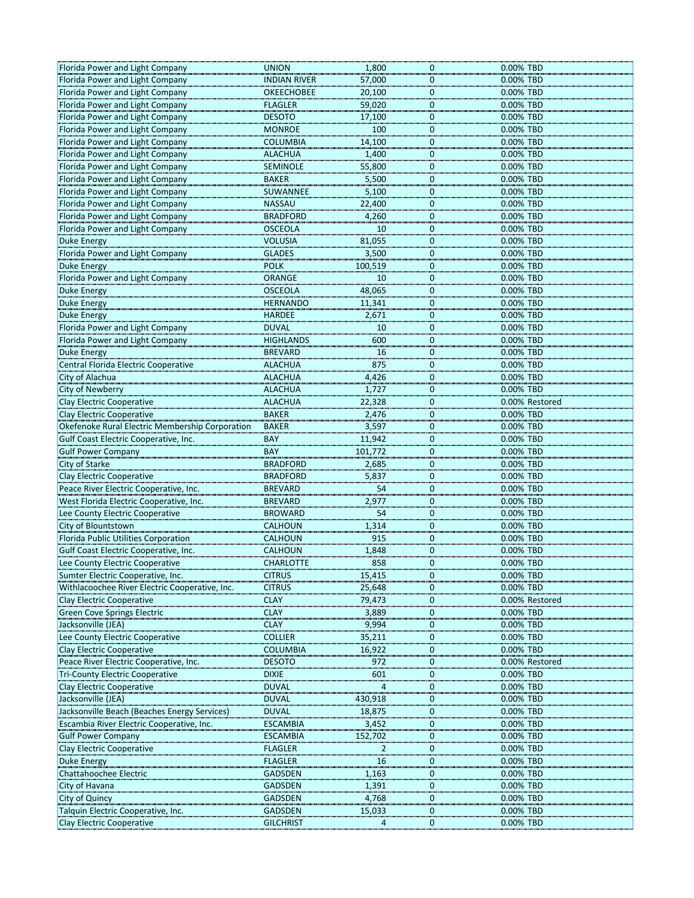| Florida Power and Light Company                 | <b>UNION</b>        | 1,800   | 0            | 0.00% TBD      |
|-------------------------------------------------|---------------------|---------|--------------|----------------|
|                                                 |                     |         |              |                |
| Florida Power and Light Company                 | <b>INDIAN RIVER</b> | 57,000  | 0            | 0.00% TBD      |
| Florida Power and Light Company                 | <b>OKEECHOBEE</b>   | 20,100  | 0            | 0.00% TBD      |
| Florida Power and Light Company                 | <b>FLAGLER</b>      | 59,020  | 0            | 0.00% TBD      |
| Florida Power and Light Company                 | <b>DESOTO</b>       | 17,100  | 0            | 0.00% TBD      |
| Florida Power and Light Company                 | <b>MONROE</b>       | 100     | 0            | 0.00% TBD      |
| Florida Power and Light Company                 | <b>COLUMBIA</b>     | 14,100  | 0            | 0.00% TBD      |
| Florida Power and Light Company                 | <b>ALACHUA</b>      | 1,400   | 0            | 0.00% TBD      |
| Florida Power and Light Company                 | <b>SEMINOLE</b>     | 55,800  | $\mathbf{0}$ | 0.00% TBD      |
|                                                 |                     |         |              |                |
| Florida Power and Light Company                 | <b>BAKER</b>        | 5,500   | $\mathbf{0}$ | 0.00% TBD      |
| Florida Power and Light Company                 | SUWANNEE            | 5,100   | 0            | 0.00% TBD      |
| Florida Power and Light Company                 | <b>NASSAU</b>       | 22,400  | $\mathbf{0}$ | 0.00% TBD      |
| Florida Power and Light Company                 | <b>BRADFORD</b>     | 4,260   | 0            | 0.00% TBD      |
| Florida Power and Light Company                 | <b>OSCEOLA</b>      | 10      | $\mathbf{0}$ | 0.00% TBD      |
| <b>Duke Energy</b>                              | <b>VOLUSIA</b>      | 81,055  | $\Omega$     | 0.00% TBD      |
| Florida Power and Light Company                 | <b>GLADES</b>       | 3,500   | 0            | 0.00% TBD      |
| <b>Duke Energy</b>                              | <b>POLK</b>         | 100,519 | $\mathbf{0}$ | 0.00% TBD      |
|                                                 |                     |         |              |                |
| Florida Power and Light Company                 | <b>ORANGE</b>       | 10      | 0            | 0.00% TBD      |
| <b>Duke Energy</b>                              | <b>OSCEOLA</b>      | 48,065  | 0            | 0.00% TBD      |
| <b>Duke Energy</b>                              | <b>HERNANDO</b>     | 11,341  | 0            | 0.00% TBD      |
| <b>Duke Energy</b>                              | <b>HARDEE</b>       | 2,671   | 0            | 0.00% TBD      |
| Florida Power and Light Company                 | <b>DUVAL</b>        | 10      | $\Omega$     | 0.00% TBD      |
| Florida Power and Light Company                 | <b>HIGHLANDS</b>    | 600     | 0            | 0.00% TBD      |
| <b>Duke Energy</b>                              | <b>BREVARD</b>      | 16      | $\mathbf{0}$ | 0.00% TBD      |
|                                                 |                     |         |              |                |
| Central Florida Electric Cooperative            | <b>ALACHUA</b>      | 875     | 0            | 0.00% TBD      |
| City of Alachua                                 | <b>ALACHUA</b>      | 4,426   | 0            | 0.00% TBD      |
| <b>City of Newberry</b>                         | <b>ALACHUA</b>      | 1,727   | $\Omega$     | 0.00% TBD      |
| <b>Clay Electric Cooperative</b>                | <b>ALACHUA</b>      | 22,328  | 0            | 0.00% Restored |
| <b>Clay Electric Cooperative</b>                | <b>BAKER</b>        | 2,476   | 0            | 0.00% TBD      |
| Okefenoke Rural Electric Membership Corporation | <b>BAKER</b>        | 3,597   | 0            | 0.00% TBD      |
| Gulf Coast Electric Cooperative, Inc.           | <b>BAY</b>          | 11,942  | $\Omega$     | 0.00% TBD      |
| <b>Gulf Power Company</b>                       | <b>BAY</b>          | 101,772 | 0            | 0.00% TBD      |
| <b>City of Starke</b>                           | <b>BRADFORD</b>     |         | $\Omega$     | 0.00% TBD      |
|                                                 |                     | 2,685   |              |                |
| <b>Clay Electric Cooperative</b>                | <b>BRADFORD</b>     | 5,837   | 0            | 0.00% TBD      |
| Peace River Electric Cooperative, Inc.          | <b>BREVARD</b>      | 54      | $\Omega$     | 0.00% TBD      |
| West Florida Electric Cooperative, Inc.         | <b>BREVARD</b>      | 2,977   | $\Omega$     | 0.00% TBD      |
| Lee County Electric Cooperative                 | <b>BROWARD</b>      | 54      | 0            | 0.00% TBD      |
| City of Blountstown                             | <b>CALHOUN</b>      | 1,314   | $\Omega$     | 0.00% TBD      |
| Florida Public Utilities Corporation            | <b>CALHOUN</b>      | 915     | 0            | 0.00% TBD      |
| Gulf Coast Electric Cooperative, Inc.           | <b>CALHOUN</b>      | 1,848   | 0            | 0.00% TBD      |
|                                                 |                     | 858     |              |                |
| Lee County Electric Cooperative                 | <b>CHARLOTTE</b>    |         | 0            | 0.00% TBD      |
| Sumter Electric Cooperative, Inc.               | <b>CITRUS</b>       | 15,415  | 0            | 0.00% TBD      |
| Withlacoochee River Electric Cooperative, Inc.  | <b>CITRUS</b>       | 25,648  | $\Omega$     | 0.00% TBD      |
| <b>Clay Electric Cooperative</b>                | <b>CLAY</b>         | 79,473  | 0            | 0.00% Restored |
| <b>Green Cove Springs Electric</b>              | <b>CLAY</b>         | 3,889   | 0            | 0.00% TBD      |
| Jacksonville (JEA)                              | <b>CLAY</b>         | 9,994   | 0            | 0.00% TBD      |
| Lee County Electric Cooperative                 | <b>COLLIER</b>      | 35,211  | 0            | 0.00% TBD      |
| <b>Clay Electric Cooperative</b>                |                     |         |              |                |
|                                                 |                     |         |              |                |
|                                                 | <b>COLUMBIA</b>     | 16,922  | $\Omega$     | 0.00% TBD      |
| Peace River Electric Cooperative, Inc.          | <b>DESOTO</b>       | 972     | 0            | 0.00% Restored |
| <b>Tri-County Electric Cooperative</b>          | <b>DIXIE</b>        | 601     | $\Omega$     | 0.00% TBD      |
| <b>Clay Electric Cooperative</b>                | <b>DUVAL</b>        | 4       | 0            | 0.00% TBD      |
| Jacksonville (JEA)                              | <b>DUVAL</b>        | 430,918 | $\Omega$     | 0.00% TBD      |
| Jacksonville Beach (Beaches Energy Services)    | <b>DUVAL</b>        | 18,875  | 0            | 0.00% TBD      |
| Escambia River Electric Cooperative, Inc.       | <b>ESCAMBIA</b>     | 3,452   | 0            | 0.00% TBD      |
|                                                 |                     |         | $\Omega$     |                |
| <b>Gulf Power Company</b>                       | <b>ESCAMBIA</b>     | 152,702 |              | 0.00% TBD      |
| Clay Electric Cooperative                       | <b>FLAGLER</b>      | 2       | $\mathbf{0}$ | 0.00% TBD      |
| <b>Duke Energy</b>                              | <b>FLAGLER</b>      | 16      | $\Omega$     | 0.00% TBD      |
| Chattahoochee Electric                          | <b>GADSDEN</b>      | 1,163   | 0            | 0.00% TBD      |
| City of Havana                                  | <b>GADSDEN</b>      | 1,391   | 0            | 0.00% TBD      |
| <b>City of Quincy</b>                           | <b>GADSDEN</b>      | 4,768   | 0            | 0.00% TBD      |
| Talquin Electric Cooperative, Inc.              | <b>GADSDEN</b>      | 15,033  | 0            | 0.00% TBD      |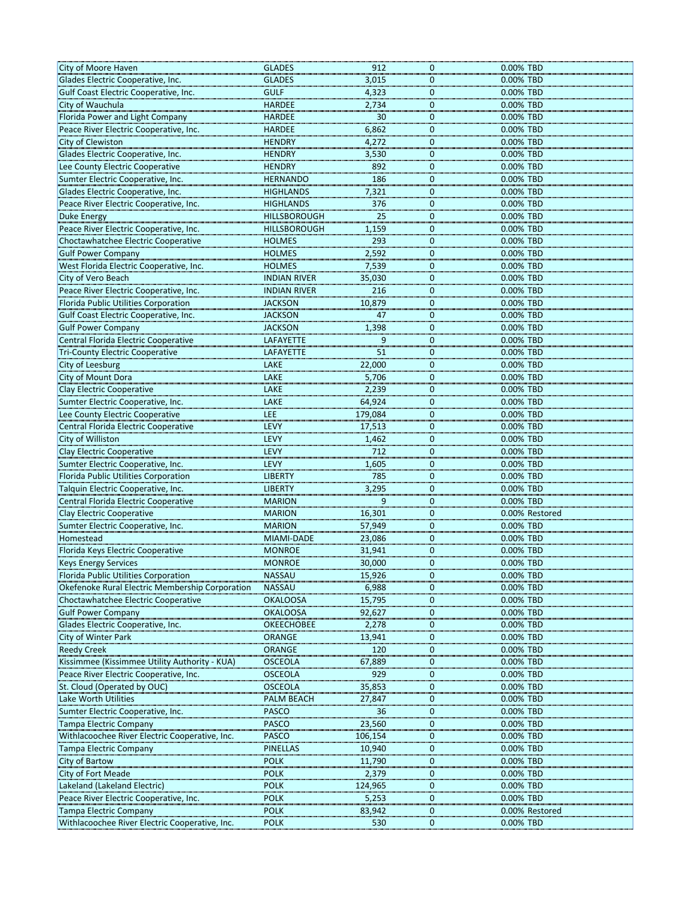| City of Moore Haven                             | <b>GLADES</b>       | 912     | 0              | 0.00% TBD      |
|-------------------------------------------------|---------------------|---------|----------------|----------------|
| Glades Electric Cooperative, Inc.               | <b>GLADES</b>       | 3,015   | $\mathbf 0$    | 0.00% TBD      |
| Gulf Coast Electric Cooperative, Inc.           | <b>GULF</b>         | 4,323   | 0              | 0.00% TBD      |
| City of Wauchula                                | <b>HARDEE</b>       | 2,734   | $\mathbf{0}$   | 0.00% TBD      |
| Florida Power and Light Company                 | <b>HARDEE</b>       | 30      | $\Omega$       | 0.00% TBD      |
| Peace River Electric Cooperative, Inc.          | <b>HARDEE</b>       | 6,862   | 0              | 0.00% TBD      |
| City of Clewiston                               | <b>HENDRY</b>       | 4,272   | 0              | 0.00% TBD      |
| Glades Electric Cooperative, Inc.               | <b>HENDRY</b>       | 3,530   | 0              | 0.00% TBD      |
| Lee County Electric Cooperative                 | <b>HENDRY</b>       | 892     | $\mathbf 0$    | 0.00% TBD      |
| Sumter Electric Cooperative, Inc.               | <b>HERNANDO</b>     | 186     | 0              | 0.00% TBD      |
| Glades Electric Cooperative, Inc.               | <b>HIGHLANDS</b>    | 7,321   | $\mathbf 0$    | 0.00% TBD      |
| Peace River Electric Cooperative, Inc.          | <b>HIGHLANDS</b>    | 376     | 0              | 0.00% TBD      |
| <b>Duke Energy</b>                              | <b>HILLSBOROUGH</b> | 25      | 0              | 0.00% TBD      |
| Peace River Electric Cooperative, Inc.          | <b>HILLSBOROUGH</b> | 1,159   | $\mathbf 0$    | 0.00% TBD      |
| Choctawhatchee Electric Cooperative             | <b>HOLMES</b>       | 293     | $\Omega$       | 0.00% TBD      |
| <b>Gulf Power Company</b>                       | <b>HOLMES</b>       | 2,592   | $\mathbf 0$    | 0.00% TBD      |
| West Florida Electric Cooperative, Inc.         | <b>HOLMES</b>       | 7,539   | 0              | 0.00% TBD      |
| City of Vero Beach                              | <b>INDIAN RIVER</b> | 35,030  | 0              | 0.00% TBD      |
| Peace River Electric Cooperative, Inc.          | <b>INDIAN RIVER</b> | 216     | $\Omega$       | 0.00% TBD      |
| Florida Public Utilities Corporation            | <b>JACKSON</b>      | 10,879  | $\mathbf 0$    | 0.00% TBD      |
| Gulf Coast Electric Cooperative, Inc.           | <b>JACKSON</b>      | 47      | $\mathbf 0$    | 0.00% TBD      |
| <b>Gulf Power Company</b>                       | <b>JACKSON</b>      | 1,398   | $\Omega$       | 0.00% TBD      |
| Central Florida Electric Cooperative            | LAFAYETTE           | 9       | $\mathbf 0$    | 0.00% TBD      |
| <b>Tri-County Electric Cooperative</b>          | LAFAYETTE           | 51      | 0              | 0.00% TBD      |
| City of Leesburg                                | LAKE                | 22,000  | $\mathbf 0$    | 0.00% TBD      |
| City of Mount Dora                              | LAKE                | 5,706   | $\mathbf 0$    | 0.00% TBD      |
| <b>Clay Electric Cooperative</b>                | LAKE                | 2,239   | $\Omega$       | 0.00% TBD      |
| Sumter Electric Cooperative, Inc.               | LAKE                | 64,924  | 0              | 0.00% TBD      |
| Lee County Electric Cooperative                 | <b>LEE</b>          | 179,084 | 0              | 0.00% TBD      |
| Central Florida Electric Cooperative            | <b>LEVY</b>         | 17,513  | 0              | 0.00% TBD      |
| City of Williston                               | <b>LEVY</b>         | 1,462   | $\Omega$       | 0.00% TBD      |
| <b>Clay Electric Cooperative</b>                | <b>LEVY</b>         | 712     | 0              | 0.00% TBD      |
| Sumter Electric Cooperative, Inc.               | <b>LEVY</b>         | 1,605   | $\Omega$       | 0.00% TBD      |
| Florida Public Utilities Corporation            | <b>LIBERTY</b>      | 785     | 0              | 0.00% TBD      |
| Talquin Electric Cooperative, Inc.              | <b>LIBERTY</b>      | 3,295   | $\Omega$       | 0.00% TBD      |
| Central Florida Electric Cooperative            | <b>MARION</b>       | 9       | $\Omega$       | 0.00% TBD      |
| <b>Clay Electric Cooperative</b>                | <b>MARION</b>       | 16,301  | 0              | 0.00% Restored |
| Sumter Electric Cooperative, Inc.               | <b>MARION</b>       | 57,949  | $\Omega$       | 0.00% TBD      |
| Homestead                                       | MIAMI-DADE          | 23,086  | 0              | 0.00% TBD      |
| Florida Keys Electric Cooperative               | <b>MONROE</b>       | 31,941  | 0              | 0.00% TBD      |
| <b>Keys Energy Services</b>                     | <b>MONROE</b>       | 30,000  | 0              | 0.00% TBD      |
| <b>Florida Public Utilities Corporation</b>     | <b>NASSAU</b>       | 15,926  | 0              | 0.00% TBD      |
| Okefenoke Rural Electric Membership Corporation | <b>NASSAU</b>       | 6,988   | $\Omega$       | 0.00% TBD      |
| Choctawhatchee Electric Cooperative             | <b>OKALOOSA</b>     | 15,795  | 0              | 0.00% TBD      |
| <b>Gulf Power Company</b>                       | <b>OKALOOSA</b>     | 92,627  | 0              | 0.00% TBD      |
| Glades Electric Cooperative, Inc.               | <b>OKEECHOBEE</b>   | 2,278   | 0              | 0.00% TBD      |
| City of Winter Park                             | <b>ORANGE</b>       | 13,941  | 0              | 0.00% TBD      |
| <b>Reedy Creek</b>                              | <b>ORANGE</b>       | 120     | $\Omega$       | 0.00% TBD      |
| Kissimmee (Kissimmee Utility Authority - KUA)   | <b>OSCEOLA</b>      | 67,889  | 0              | 0.00% TBD      |
| Peace River Electric Cooperative, Inc.          | <b>OSCEOLA</b>      | 929     | $\Omega$       | 0.00% TBD      |
| St. Cloud (Operated by OUC)                     | <b>OSCEOLA</b>      | 35,853  | $\mathbf{0}$   | 0.00% TBD      |
| Lake Worth Utilities                            | <b>PALM BEACH</b>   | 27,847  | $\Omega$       | 0.00% TBD      |
| Sumter Electric Cooperative, Inc.               | <b>PASCO</b>        | 36      | 0              | 0.00% TBD      |
| <b>Tampa Electric Company</b>                   | <b>PASCO</b>        | 23,560  | 0              | 0.00% TBD      |
| Withlacoochee River Electric Cooperative, Inc.  | <b>PASCO</b>        | 106,154 | 0              | 0.00% TBD      |
| Tampa Electric Company                          | <b>PINELLAS</b>     | 10,940  | $\mathbf 0$    | 0.00% TBD      |
| City of Bartow                                  | <b>POLK</b>         | 11,790  | $\Omega$       | 0.00% TBD      |
| City of Fort Meade                              | <b>POLK</b>         | 2,379   | 0              | 0.00% TBD      |
| Lakeland (Lakeland Electric)                    | <b>POLK</b>         | 124,965 | $\Omega$       | 0.00% TBD      |
| Peace River Electric Cooperative, Inc.          | <b>POLK</b>         | 5,253   | 0              | 0.00% TBD      |
| <b>Tampa Electric Company</b>                   | <b>POLK</b>         | 83,942  | 0              | 0.00% Restored |
| Withlacoochee River Electric Cooperative, Inc.  | <b>POLK</b>         | 530     | $\overline{0}$ | 0.00% TBD      |